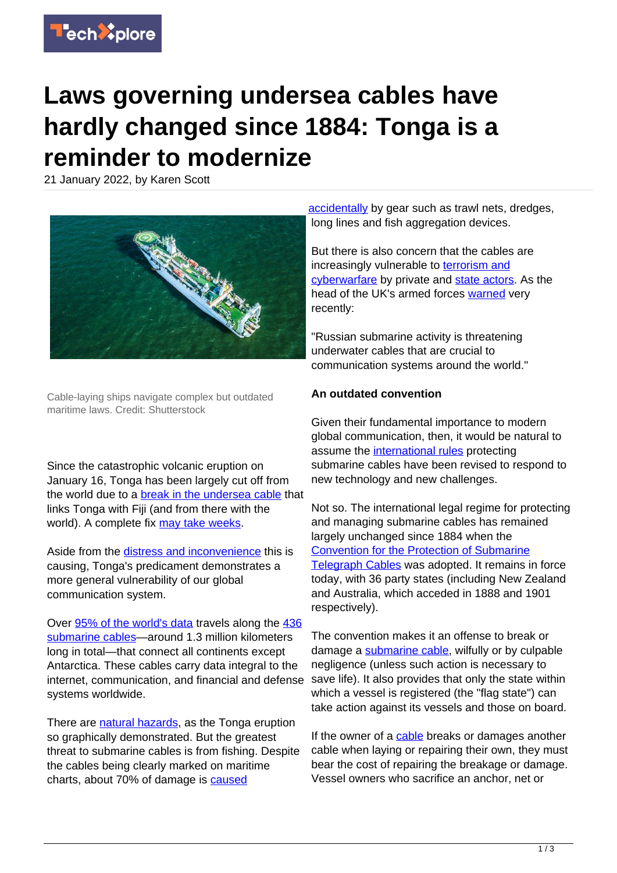

## **Laws governing undersea cables have hardly changed since 1884: Tonga is a reminder to modernize**

21 January 2022, by Karen Scott



Cable-laying ships navigate complex but outdated maritime laws. Credit: Shutterstock

Since the catastrophic volcanic eruption on January 16, Tonga has been largely cut off from the world due to a [break in the undersea cable](https://www.theguardian.com/world/2022/jan/18/tonga-could-be-cut-off-for-weeks-amid-efforts-to-repair-undersea-communications-cable) that links Tonga with Fiji (and from there with the world). A complete fix [may take weeks](https://www.rnz.co.nz/news/national/459721/tonga-s-undersea-cable-could-take-weeks-to-repair).

Aside from the [distress and inconvenience](https://www.theguardian.com/world/2022/jan/17/not-knowing-is-heartbreaking-sleepless-nights-among-tongan-diaspora-after-contact-with-country-cut-off) this is causing, Tonga's predicament demonstrates a more general vulnerability of our global communication system.

Over [95% of the world's data](https://www.navy.gov.au/media-room/publications/semaphore-02-12) travels along the [436](https://www2.telegeography.com/submarine-cable-faqs-frequently-asked-questions) [submarine cables—](https://www2.telegeography.com/submarine-cable-faqs-frequently-asked-questions)around 1.3 million kilometers long in total—that connect all continents except Antarctica. These cables carry data integral to the internet, communication, and financial and defense systems worldwide.

There are [natural hazards,](https://techxplore.com/tags/natural+hazards/) as the Tonga eruption so graphically demonstrated. But the greatest threat to submarine cables is from fishing. Despite the cables being clearly marked on maritime charts, about 70% of damage is [caused](https://www.iscpc.org/publications/icpc-best-practices/)

[accidentally](https://www.iscpc.org/publications/icpc-best-practices/) by gear such as trawl nets, dredges, long lines and fish aggregation devices.

But there is also concern that the cables are increasingly vulnerable to [terrorism and](https://theglobalobservatory.org/2021/09/beyond-triple-invisibility-do-submarine-data-cables-require-better-security/) [cyberwarfare](https://theglobalobservatory.org/2021/09/beyond-triple-invisibility-do-submarine-data-cables-require-better-security/) by private and [state actors](https://techxplore.com/tags/state+actors/). As the head of the UK's armed forces [warned](https://www.theguardian.com/uk-news/2022/jan/08/uk-military-chief-warns-of-russian-threat-to-vital-undersea-cables) very recently:

"Russian submarine activity is threatening underwater cables that are crucial to communication systems around the world."

## **An outdated convention**

Given their fundamental importance to modern global communication, then, it would be natural to assume the [international rules](https://techxplore.com/tags/international+rules/) protecting submarine cables have been revised to respond to new technology and new challenges.

Not so. The international legal regime for protecting and managing submarine cables has remained largely unchanged since 1884 when the [Convention for the Protection of Submarine](https://cil.nus.edu.sg/wp-content/uploads/formidable/18/1884-Convention-for-the-Protection-of-Submarine-Telegraph-Cables.pdf) [Telegraph Cables](https://cil.nus.edu.sg/wp-content/uploads/formidable/18/1884-Convention-for-the-Protection-of-Submarine-Telegraph-Cables.pdf) was adopted. It remains in force today, with 36 party states (including New Zealand and Australia, which acceded in 1888 and 1901 respectively).

The convention makes it an offense to break or damage a [submarine cable](https://techxplore.com/tags/submarine+cable/), wilfully or by culpable negligence (unless such action is necessary to save life). It also provides that only the state within which a vessel is registered (the "flag state") can take action against its vessels and those on board.

If the owner of a [cable](https://techxplore.com/tags/cable/) breaks or damages another cable when laying or repairing their own, they must bear the cost of repairing the breakage or damage. Vessel owners who sacrifice an anchor, net or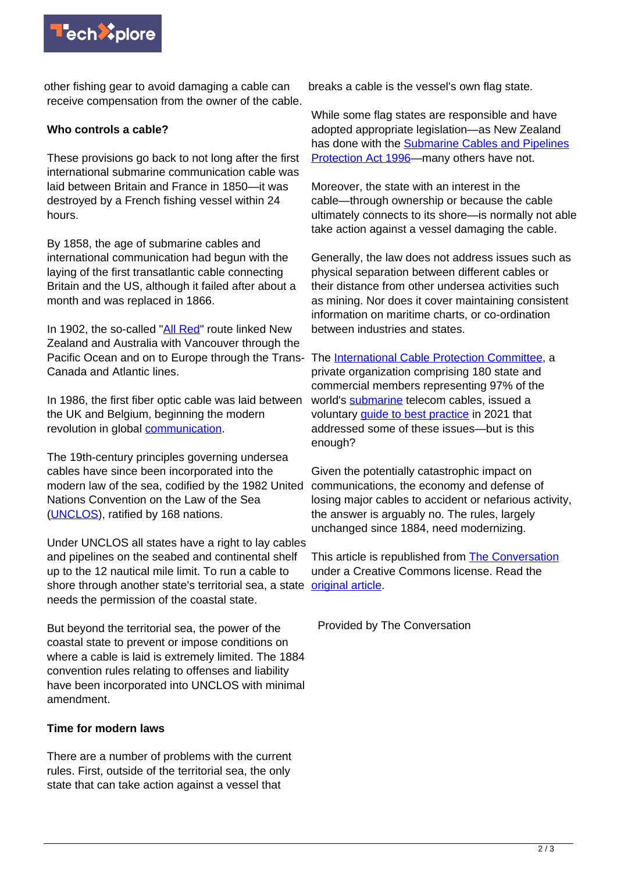

other fishing gear to avoid damaging a cable can receive compensation from the owner of the cable.

## **Who controls a cable?**

These provisions go back to not long after the first international submarine communication cable was laid between Britain and France in 1850—it was destroyed by a French fishing vessel within 24 hours.

By 1858, the age of submarine cables and international communication had begun with the laying of the first transatlantic cable connecting Britain and the US, although it failed after about a month and was replaced in 1866.

In 1902, the so-called ["All Red"](http://blogs.mhs.ox.ac.uk/innovatingincombat/british-cable-telegraphy-world-war-one-red-line-secure-communications/) route linked New Zealand and Australia with Vancouver through the Pacific Ocean and on to Europe through the Trans-Canada and Atlantic lines.

In 1986, the first fiber optic cable was laid between the UK and Belgium, beginning the modern revolution in global [communication](https://techxplore.com/tags/communication/).

The 19th-century principles governing undersea cables have since been incorporated into the modern law of the sea, codified by the 1982 United Nations Convention on the Law of the Sea [\(UNCLOS\)](https://www.un.org/depts/los/convention_agreements/texts/unclos/unclos_e.pdf), ratified by 168 nations.

Under UNCLOS all states have a right to lay cables and pipelines on the seabed and continental shelf up to the 12 nautical mile limit. To run a cable to shore through another state's territorial sea, a state [original article](https://theconversation.com/laws-governing-undersea-cables-have-hardly-changed-since-1884-tonga-is-a-reminder-they-need-modernising-175312). needs the permission of the coastal state.

But beyond the territorial sea, the power of the coastal state to prevent or impose conditions on where a cable is laid is extremely limited. The 1884 convention rules relating to offenses and liability have been incorporated into UNCLOS with minimal amendment.

## **Time for modern laws**

There are a number of problems with the current rules. First, outside of the territorial sea, the only state that can take action against a vessel that

breaks a cable is the vessel's own flag state.

While some flag states are responsible and have adopted appropriate legislation—as New Zealand has done with the [Submarine Cables and Pipelines](https://legislation.govt.nz/act/public/1996/0022/latest/DLM375803.html) [Protection Act 1996](https://legislation.govt.nz/act/public/1996/0022/latest/DLM375803.html)—many others have not.

Moreover, the state with an interest in the cable—through ownership or because the cable ultimately connects to its shore—is normally not able take action against a vessel damaging the cable.

Generally, the law does not address issues such as physical separation between different cables or their distance from other undersea activities such as mining. Nor does it cover maintaining consistent information on maritime charts, or co-ordination between industries and states.

The [International Cable Protection Committee,](https://www.iscpc.org/) a private organization comprising 180 state and commercial members representing 97% of the world's [submarine](https://techxplore.com/tags/submarine/) telecom cables, issued a voluntary [guide to best practice](https://www.iscpc.org/publications/icpc-best-practices/) in 2021 that addressed some of these issues—but is this enough?

Given the potentially catastrophic impact on communications, the economy and defense of losing major cables to accident or nefarious activity, the answer is arguably no. The rules, largely unchanged since 1884, need modernizing.

This article is republished from [The Conversation](https://theconversation.com) under a Creative Commons license. Read the

Provided by The Conversation